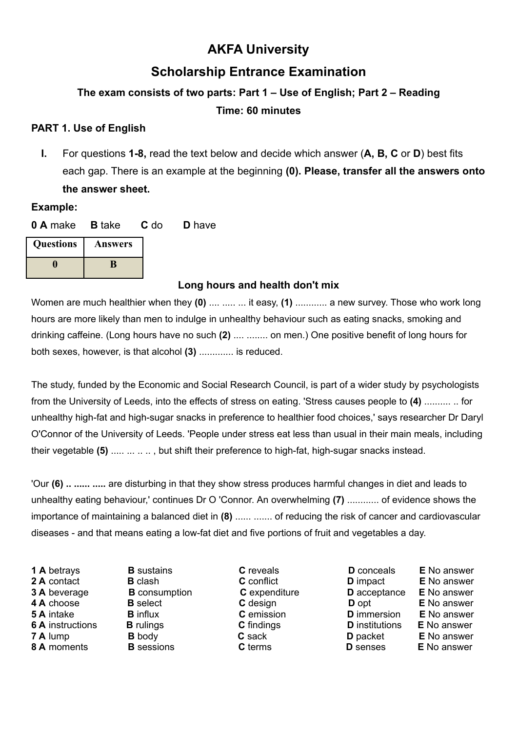# **AKFA University**

# **Scholarship Entrance Examination**

**The exam consists of two parts: Part 1 – Use of English; Part 2 – Reading Time: 60 minutes**

# **PART 1. Use of English**

**I.** For questions **1-8,** read the text below and decide which answer (**A, B, C** or **D**) best fits each gap. There is an example at the beginning **(0). Please, transfer all the answers onto the answer sheet.**

### **Example:**

| 0 A make         | <b>B</b> take  | <b>C</b> do |
|------------------|----------------|-------------|
| <b>Questions</b> | <b>Answers</b> |             |
|                  |                |             |

### **D** have

#### **Long hours and health don't mix**

Women are much healthier when they **(0)** .... ..... ... it easy, **(1)** ............ a new survey. Those who work long hours are more likely than men to indulge in unhealthy behaviour such as eating snacks, smoking and drinking caffeine. (Long hours have no such **(2)** .... ........ on men.) One positive benefit of long hours for both sexes, however, is that alcohol **(3)** ............. is reduced.

The study, funded by the Economic and Social Research Council, is part of a wider study by psychologists from the University of Leeds, into the effects of stress on eating. 'Stress causes people to **(4)** .......... .. for unhealthy high-fat and high-sugar snacks in preference to healthier food choices,' says researcher Dr Daryl O'Connor of the University of Leeds. 'People under stress eat less than usual in their main meals, including their vegetable **(5)** ..... ... .. .. , but shift their preference to high-fat, high-sugar snacks instead.

'Our **(6) .. ...... .....** are disturbing in that they show stress produces harmful changes in diet and leads to unhealthy eating behaviour,' continues Dr O 'Connor. An overwhelming **(7)** ............ of evidence shows the importance of maintaining a balanced diet in **(8)** ...... ....... of reducing the risk of cancer and cardiovascular diseases - and that means eating a low-fat diet and five portions of fruit and vegetables a day.

- 
- 

 **A** betrays **B** sustains **C** reveals **D** conceals **E** No answer **A** contact **B** clash **C** conflict **D** impact **E** No answer **A** beverage **B** consumption **C** expenditure **D** acceptance **E** No answer **A** choose **B** select **C** design **D** opt **E** No answer **A** intake **B** influx **C** emission **D** immersion **E** No answer **A** instructions **B** rulings **C** findings **D** institutions **E** No answer **A** lump **B** body **C** sack **D** packet **E** No answer **A** moments **B** sessions **C** terms **D** senses **E** No answer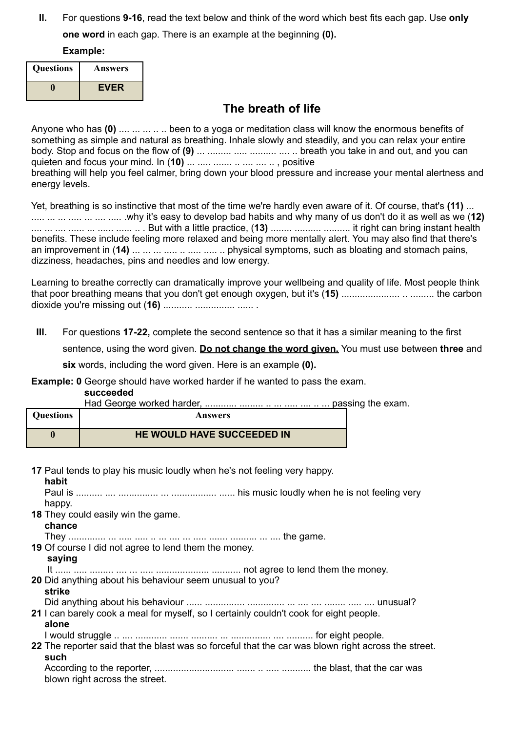**II.** For questions **9-16**, read the text below and think of the word which best fits each gap. Use **only one word** in each gap. There is an example at the beginning **(0). Example:**

| <b>Questions</b> | Answers     |
|------------------|-------------|
|                  | <b>EVER</b> |

**The breath of life**

Anyone who has **(0)** .... ... ... .. .. been to a yoga or meditation class will know the enormous benefits of something as simple and natural as breathing. Inhale slowly and steadily, and you can relax your entire body. Stop and focus on the flow of **(9)** ... ......... ..... .......... .... .. breath you take in and out, and you can quieten and focus your mind. In (**10)** ... ..... ....... .. .... .... .. , positive breathing will help you feel calmer, bring down your blood pressure and increase your mental alertness and energy levels.

Yet, breathing is so instinctive that most of the time we're hardly even aware of it. Of course, that's **(11)** ... ..... ... ... ..... ... .... ..... .why it's easy to develop bad habits and why many of us don't do it as well as we (**12)** .... ... .... ...... ... ...... ...... .. . But with a little practice, (**13)** ........ .......... .......... it right can bring instant health benefits. These include feeling more relaxed and being more mentally alert. You may also find that there's an improvement in (14) ... ... ... .... ... .... ......... physical symptoms, such as bloating and stomach pains, dizziness, headaches, pins and needles and low energy.

Learning to breathe correctly can dramatically improve your wellbeing and quality of life. Most people think that poor breathing means that you don't get enough oxygen, but it's (**15)** ...................... .. ......... the carbon dioxide you're missing out (**16)** ........... ............... ...... .

**III.** For questions **17-22,** complete the second sentence so that it has a similar meaning to the first sentence, using the word given. **Do not change the word given.** You must use between **three** and **six** words, including the word given. Here is an example **(0).**

**Example: 0** George should have worked harder if he wanted to pass the exam.

| succeeded |  |
|-----------|--|
|-----------|--|

| <b>Questions</b> | Answers                    |
|------------------|----------------------------|
|                  | HE WOULD HAVE SUCCEEDED IN |

**17** Paul tends to play his music loudly when he's not feeling very happy.

| habit                                                                                               |
|-----------------------------------------------------------------------------------------------------|
|                                                                                                     |
| happy.                                                                                              |
| <b>18</b> They could easily win the game.                                                           |
| chance                                                                                              |
|                                                                                                     |
| 19 Of course I did not agree to lend them the money.                                                |
| saying                                                                                              |
|                                                                                                     |
| 20 Did anything about his behaviour seem unusual to you?                                            |
| strike                                                                                              |
|                                                                                                     |
| 21 I can barely cook a meal for myself, so I certainly couldn't cook for eight people.              |
| alone                                                                                               |
|                                                                                                     |
| 22 The reporter said that the blast was so forceful that the car was blown right across the street. |
| such                                                                                                |
|                                                                                                     |
| blown right across the street.                                                                      |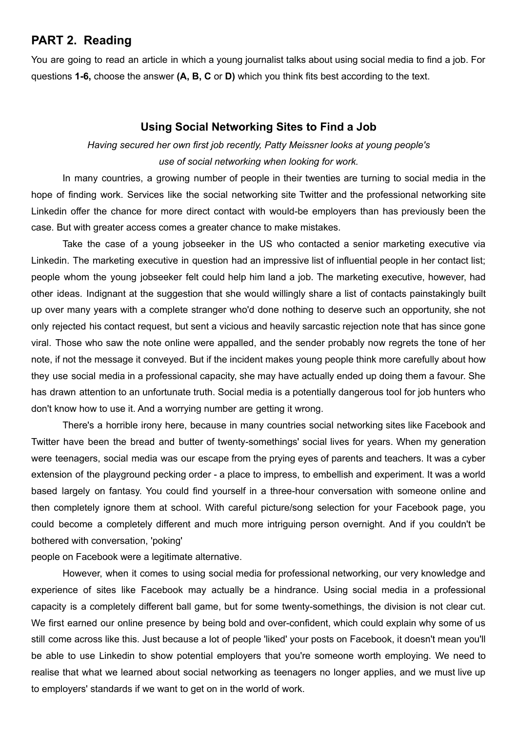### **PART 2. Reading**

You are going to read an article in which a young journalist talks about using social media to find a job. For questions **1-6,** choose the answer **(A, B, C** or **D)** which you think fits best according to the text.

#### **Using Social Networking Sites to Find a Job**

# *Having secured her own first job recently, Patty Meissner looks at young people's use of social networking when looking for work.*

In many countries, a growing number of people in their twenties are turning to social media in the hope of finding work. Services like the social networking site Twitter and the professional networking site Linkedin offer the chance for more direct contact with would-be employers than has previously been the case. But with greater access comes a greater chance to make mistakes.

Take the case of a young jobseeker in the US who contacted a senior marketing executive via Linkedin. The marketing executive in question had an impressive list of influential people in her contact list; people whom the young jobseeker felt could help him land a job. The marketing executive, however, had other ideas. Indignant at the suggestion that she would willingly share a list of contacts painstakingly built up over many years with a complete stranger who'd done nothing to deserve such an opportunity, she not only rejected his contact request, but sent a vicious and heavily sarcastic rejection note that has since gone viral. Those who saw the note online were appalled, and the sender probably now regrets the tone of her note, if not the message it conveyed. But if the incident makes young people think more carefully about how they use social media in a professional capacity, she may have actually ended up doing them a favour. She has drawn attention to an unfortunate truth. Social media is a potentially dangerous tool for job hunters who don't know how to use it. And a worrying number are getting it wrong.

There's a horrible irony here, because in many countries social networking sites like Facebook and Twitter have been the bread and butter of twenty-somethings' social lives for years. When my generation were teenagers, social media was our escape from the prying eyes of parents and teachers. It was a cyber extension of the playground pecking order - a place to impress, to embellish and experiment. It was a world based largely on fantasy. You could find yourself in a three-hour conversation with someone online and then completely ignore them at school. With careful picture/song selection for your Facebook page, you could become a completely different and much more intriguing person overnight. And if you couldn't be bothered with conversation, 'poking'

people on Facebook were a legitimate alternative.

However, when it comes to using social media for professional networking, our very knowledge and experience of sites like Facebook may actually be a hindrance. Using social media in a professional capacity is a completely different ball game, but for some twenty-somethings, the division is not clear cut. We first earned our online presence by being bold and over-confident, which could explain why some of us still come across like this. Just because a lot of people 'liked' your posts on Facebook, it doesn't mean you'll be able to use Linkedin to show potential employers that you're someone worth employing. We need to realise that what we learned about social networking as teenagers no longer applies, and we must live up to employers' standards if we want to get on in the world of work.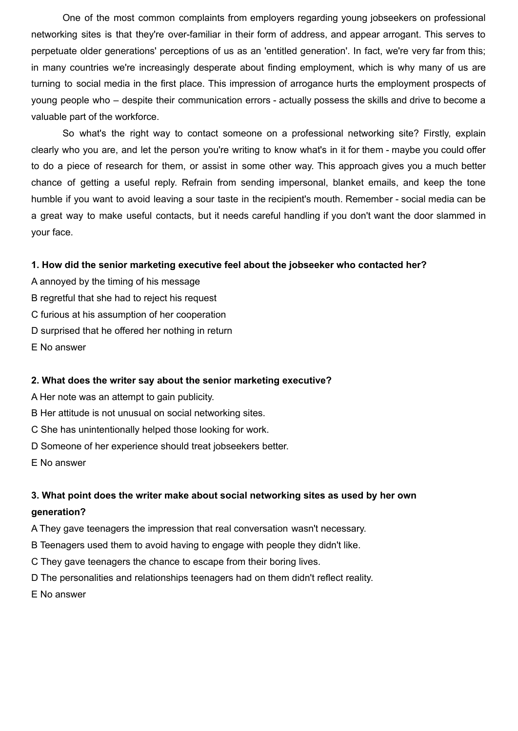One of the most common complaints from employers regarding young jobseekers on professional networking sites is that they're over-familiar in their form of address, and appear arrogant. This serves to perpetuate older generations' perceptions of us as an 'entitled generation'. In fact, we're very far from this; in many countries we're increasingly desperate about finding employment, which is why many of us are turning to social media in the first place. This impression of arrogance hurts the employment prospects of young people who – despite their communication errors - actually possess the skills and drive to become a valuable part of the workforce.

So what's the right way to contact someone on a professional networking site? Firstly, explain clearly who you are, and let the person you're writing to know what's in it for them - maybe you could offer to do a piece of research for them, or assist in some other way. This approach gives you a much better chance of getting a useful reply. Refrain from sending impersonal, blanket emails, and keep the tone humble if you want to avoid leaving a sour taste in the recipient's mouth. Remember - social media can be a great way to make useful contacts, but it needs careful handling if you don't want the door slammed in your face.

#### **1. How did the senior marketing executive feel about the jobseeker who contacted her?**

- A annoyed by the timing of his message B regretful that she had to reject his request C furious at his assumption of her cooperation D surprised that he offered her nothing in return
- E No answer

#### **2. What does the writer say about the senior marketing executive?**

- A Her note was an attempt to gain publicity.
- B Her attitude is not unusual on social networking sites.
- C She has unintentionally helped those looking for work.
- D Someone of her experience should treat jobseekers better.
- E No answer

# **3. What point does the writer make about social networking sites as used by her own generation?**

A They gave teenagers the impression that real conversation wasn't necessary.

- B Teenagers used them to avoid having to engage with people they didn't like.
- C They gave teenagers the chance to escape from their boring lives.
- D The personalities and relationships teenagers had on them didn't reflect reality.
- E No answer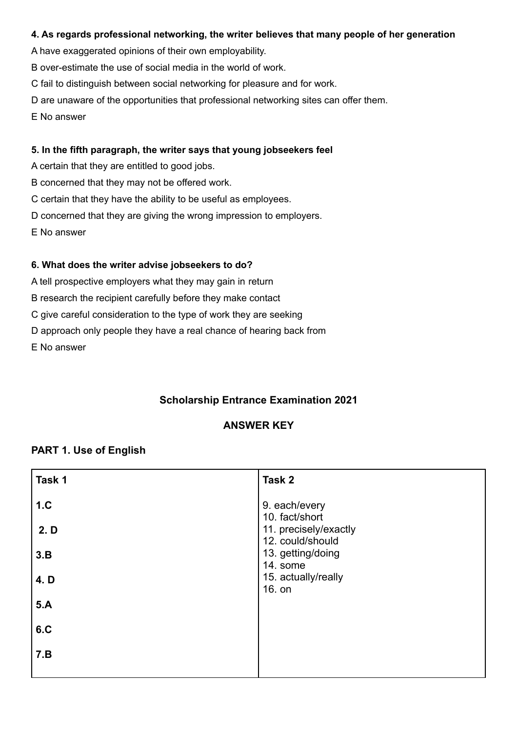#### **4. As regards professional networking, the writer believes that many people of her generation**

A have exaggerated opinions of their own employability.

B over-estimate the use of social media in the world of work.

C fail to distinguish between social networking for pleasure and for work.

D are unaware of the opportunities that professional networking sites can offer them.

E No answer

#### **5. In the fifth paragraph, the writer says that young jobseekers feel**

A certain that they are entitled to good jobs.

B concerned that they may not be offered work.

C certain that they have the ability to be useful as employees.

D concerned that they are giving the wrong impression to employers.

E No answer

#### **6. What does the writer advise jobseekers to do?**

A tell prospective employers what they may gain in return

B research the recipient carefully before they make contact

C give careful consideration to the type of work they are seeking

D approach only people they have a real chance of hearing back from

E No answer

# **Scholarship Entrance Examination 2021**

# **ANSWER KEY**

#### **PART 1. Use of English**

| Task 1 | Task 2                                    |
|--------|-------------------------------------------|
| 1.C    | 9. each/every<br>10. fact/short           |
| 2. D   | 11. precisely/exactly<br>12. could/should |
| 3.B    | 13. getting/doing<br>14. some             |
| 4. D   | 15. actually/really<br>16. on             |
| 5.A    |                                           |
| 6.C    |                                           |
| 7.B    |                                           |
|        |                                           |